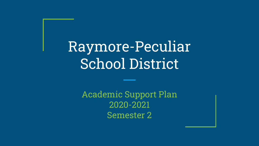Raymore-Peculiar School District

> Academic Support Plan 2020-2021 Semester 2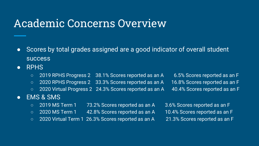# Academic Concerns Overview

- Scores by total grades assigned are a good indicator of overall student success
- RPHS
	- 2019 RPHS Progress 2 38.1% Scores reported as an A 6.5% Scores reported as an F
	- 2020 RPHS Progress 2 33.3% Scores reported as an A 16.8% Scores reported as an F
	- 2020 Virtual Progress 2 24.3% Scores reported as an A 40.4% Scores reported as an F
- 

#### ● EMS & SMS

- 2019 MS Term 1 73.2% Scores reported as an A 3.6% Scores reported as an F
- 2020 MS Term 1 42.8% Scores reported as an A 10.4% Scores reported as an F
- 2020 Virtual Term 1 26.3% Scores reported as an A 21.3% Scores reported as an F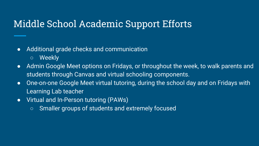### Middle School Academic Support Efforts

- Additional grade checks and communication
	- Weekly
- Admin Google Meet options on Fridays, or throughout the week, to walk parents and students through Canvas and virtual schooling components.
- One-on-one Google Meet virtual tutoring, during the school day and on Fridays with Learning Lab teacher
- Virtual and In-Person tutoring (PAWs)
	- Smaller groups of students and extremely focused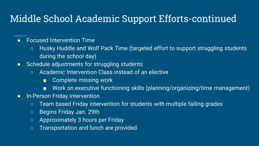## Middle School Academic Support Efforts-continued

#### ● Focused Intervention Time

- Husky Huddle and Wolf Pack Time (targeted effort to support struggling students during the school day)
- Schedule adjustments for struggling students
	- Academic Intervention Class instead of an elective
		- Complete missing work
		- Work on executive functioning skills (planning/organizing/time management)
- In-Person Friday Intervention
	- Team based Friday intervention for students with multiple failing grades
	- Begins Friday Jan. 29th
	- Approximately 3 hours per Friday
	- Transportation and lunch are provided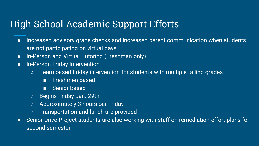## High School Academic Support Efforts

- Increased advisory grade checks and increased parent communication when students are not participating on virtual days.
- In-Person and Virtual Tutoring (Freshman only)
- In-Person Friday Intervention
	- Team based Friday intervention for students with multiple failing grades
		- Freshmen based
		- Senior based
	- Begins Friday Jan. 29th
	- Approximately 3 hours per Friday
	- Transportation and lunch are provided
- Senior Drive Project students are also working with staff on remediation effort plans for second semester